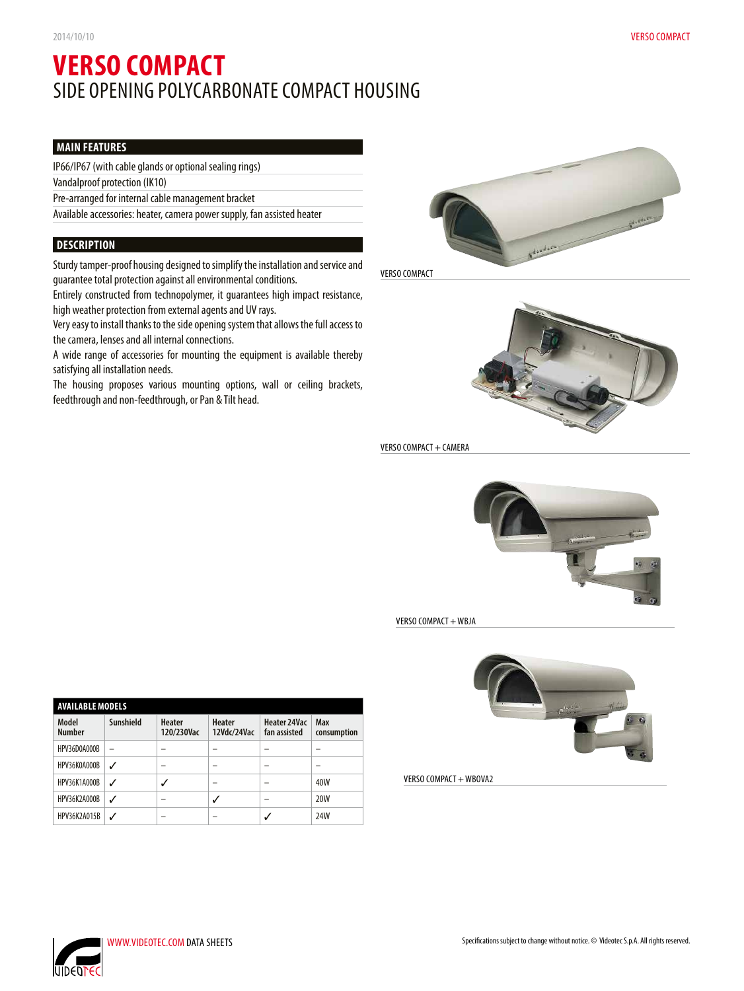# **VERSO COMPACT** SIDE OPENING POLYCARBONATE COMPACT HOUSING

# **MAIN FEATURES**

IP66/IP67 (with cable glands or optional sealing rings)

Vandalproof protection (IK10)

Pre-arranged for internal cable management bracket

Available accessories: heater, camera power supply, fan assisted heater

## **DESCRIPTION**

Sturdy tamper-proof housing designed to simplify the installation and service and guarantee total protection against all environmental conditions.

Entirely constructed from technopolymer, it guarantees high impact resistance, high weather protection from external agents and UV rays.

Very easy to install thanks to the side opening system that allows the full access to the camera, lenses and all internal connections.

A wide range of accessories for mounting the equipment is available thereby satisfying all installation needs.

The housing proposes various mounting options, wall or ceiling brackets, feedthrough and non-feedthrough, or Pan & Tilt head.



VERSO COMPACT



VERSO COMPACT + CAMERA



VERSO COMPACT + WBJA



VERSO COMPACT + WBOVA2



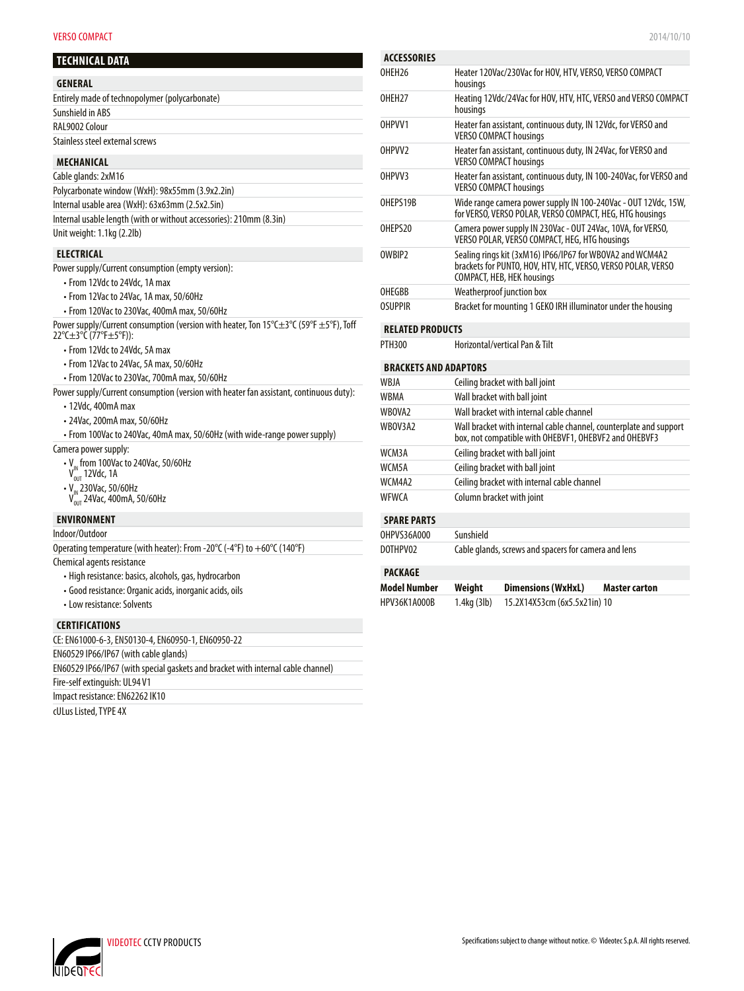#### **VERSO COMPACT** 2014/10/10

| TECHNICAL DATA |
|----------------|
|----------------|

- $\cdot$  V<sub>IN</sub> from 100Vac to 240Vac, 50/60Hz
- $V^{\prime\prime}_{\rm OUT}$  12Vdc, 1A
- $\cdot$  V<sub>IN</sub> 230Vac, 50/60Hz
- $V_{\text{out}}^{\text{N}}$  24Vac, 400mA, 50/60Hz

#### **ENVIRONMENT**

Indoor/Outdoor

| Operating temperature (with heater): From -20°C (-4°F) to $+60^{\circ}$ C (140°F) |  |
|-----------------------------------------------------------------------------------|--|
|-----------------------------------------------------------------------------------|--|

#### Chemical agents resistance

- High resistance: basics, alcohols, gas, hydrocarbon
- Good resistance: Organic acids, inorganic acids, oils
- Low resistance: Solvents

#### **CERTIFICATIONS**

CE: EN61000-6-3, EN50130-4, EN60950-1, EN60950-22 EN60529 IP66/IP67 (with cable glands) EN60529 IP66/IP67 (with special gaskets and bracket with internal cable channel) Fire-self extinguish: UL94 V1 Impact resistance: EN62262 IK10

cULus Listed, TYPE 4X

| <b>ACCESSORIES</b>           |                                                                                                                                                                |
|------------------------------|----------------------------------------------------------------------------------------------------------------------------------------------------------------|
| OHEH <sub>26</sub>           | Heater 120Vac/230Vac for HOV, HTV, VERSO, VERSO COMPACT<br>housings                                                                                            |
| OHFH <sub>27</sub>           | Heating 12Vdc/24Vac for HOV, HTV, HTC, VERSO and VERSO COMPACT<br>housings                                                                                     |
| OHPVV1                       | Heater fan assistant, continuous duty, IN 12Vdc, for VERSO and<br><b>VERSO COMPACT housings</b>                                                                |
| OHPVV <sub>2</sub>           | Heater fan assistant, continuous duty, IN 24Vac, for VERSO and<br><b>VERSO COMPACT housings</b>                                                                |
| OHPVV3                       | Heater fan assistant, continuous duty, IN 100-240Vac, for VERSO and<br><b>VERSO COMPACT housings</b>                                                           |
| OHFPS19R                     | Wide range camera power supply IN 100-240Vac - OUT 12Vdc, 15W,<br>for VERSO, VERSO POLAR, VERSO COMPACT, HEG, HTG housings                                     |
| OHFPS20                      | Camera power supply IN 230Vac - OUT 24Vac, 10VA, for VERSO,<br>VERSO POLAR, VERSO COMPACT, HEG, HTG housings                                                   |
| OWBIP <sub>2</sub>           | Sealing rings kit (3xM16) IP66/IP67 for WBOVA2 and WCM4A2<br>brackets for PUNTO, HOV, HTV, HTC, VERSO, VERSO POLAR, VERSO<br><b>COMPACT, HEB, HEK housings</b> |
| OHFGBB                       | Weatherproof junction box                                                                                                                                      |
| <b>OSUPPIR</b>               | Bracket for mounting 1 GEKO IRH illuminator under the housing                                                                                                  |
| <b>RELATED PRODUCTS</b>      |                                                                                                                                                                |
| PTH300                       | Horizontal/vertical Pan & Tilt                                                                                                                                 |
| <b>BRACKETS AND ADAPTORS</b> |                                                                                                                                                                |
| WBJA                         | Ceiling bracket with ball joint                                                                                                                                |

|                    | centing practice with pair joint                                                                                            |
|--------------------|-----------------------------------------------------------------------------------------------------------------------------|
| WBMA               | Wall bracket with ball joint                                                                                                |
| WBOVA2             | Wall bracket with internal cable channel                                                                                    |
| WBOV3A2            | Wall bracket with internal cable channel, counterplate and support<br>box, not compatible with OHEBVF1, OHEBVF2 and OHEBVF3 |
| WCM3A              | Ceiling bracket with ball joint                                                                                             |
| WCM5A              | Ceiling bracket with ball joint                                                                                             |
| WCM4A2             | Ceiling bracket with internal cable channel                                                                                 |
| WFWCA              | Column bracket with joint                                                                                                   |
| <b>SPARE PARTS</b> |                                                                                                                             |
| OHPVS36A000        | Sunshield                                                                                                                   |
| DOTHPV02           | Cable glands, screws and spacers for camera and lens                                                                        |
| <b>PACKAGE</b>     |                                                                                                                             |

| Model Number | Weight      | <b>Dimensions (WxHxL)</b>    | <b>Master carton</b> |
|--------------|-------------|------------------------------|----------------------|
| HPV36K1A000B | 1.4kg (3lb) | 15.2X14X53cm (6x5.5x21in) 10 |                      |

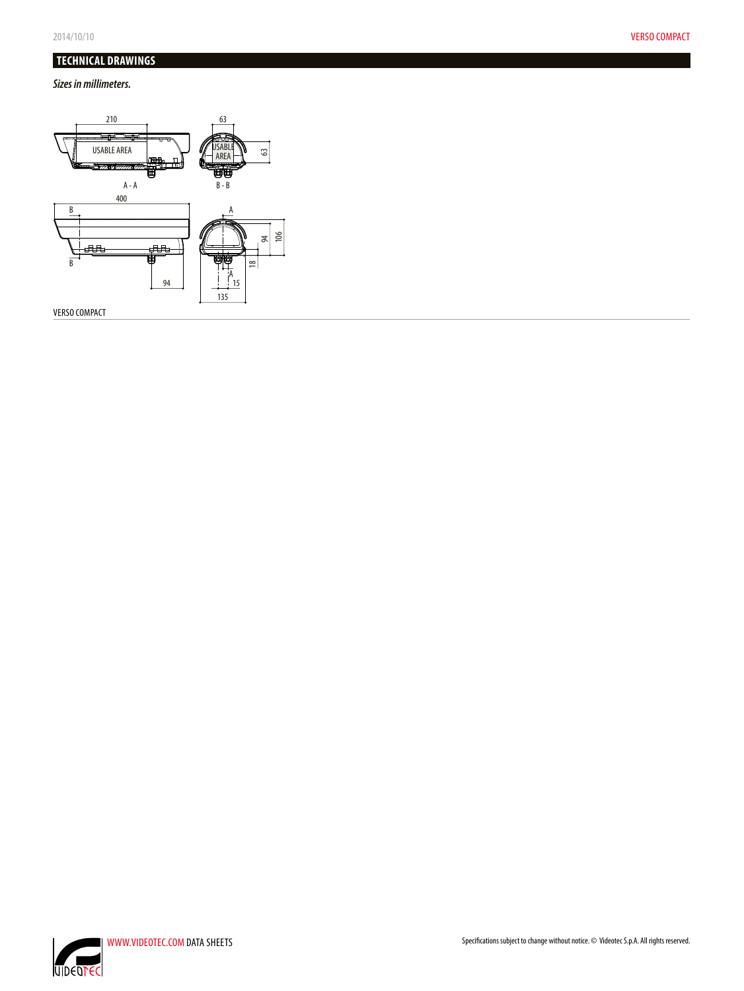# **TECHNICAL DRAWINGS**

### *Sizes in millimeters.*